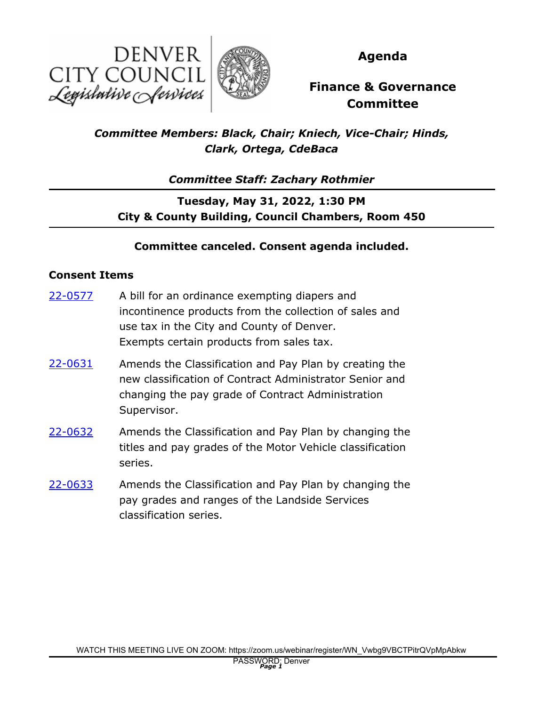



**Agenda**

# **Finance & Governance Committee**

## *Committee Members: Black, Chair; Kniech, Vice-Chair; Hinds, Clark, Ortega, CdeBaca*

*Committee Staff: Zachary Rothmier*

**Tuesday, May 31, 2022, 1:30 PM City & County Building, Council Chambers, Room 450**

### **Committee canceled. Consent agenda included.**

#### **Consent Items**

- A bill for an ordinance exempting diapers and incontinence products from the collection of sales and use tax in the City and County of Denver. Exempts certain products from sales tax. [22-0577](http://denver.legistar.com/gateway.aspx?m=l&id=/matter.aspx?key=21644)
- Amends the Classification and Pay Plan by creating the new classification of Contract Administrator Senior and changing the pay grade of Contract Administration Supervisor. [22-0631](http://denver.legistar.com/gateway.aspx?m=l&id=/matter.aspx?key=21698)
- Amends the Classification and Pay Plan by changing the titles and pay grades of the Motor Vehicle classification series. [22-0632](http://denver.legistar.com/gateway.aspx?m=l&id=/matter.aspx?key=21699)
- Amends the Classification and Pay Plan by changing the pay grades and ranges of the Landside Services classification series. [22-0633](http://denver.legistar.com/gateway.aspx?m=l&id=/matter.aspx?key=21700)